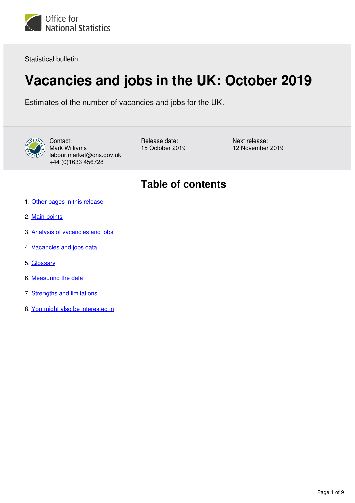<span id="page-0-0"></span>

Statistical bulletin

# **Vacancies and jobs in the UK: October 2019**

Estimates of the number of vacancies and jobs for the UK.



Contact: Mark Williams labour.market@ons.gov.uk +44 (0)1633 456728

Release date: 15 October 2019 Next release: 12 November 2019

## **Table of contents**

- 1. [Other pages in this release](#page-1-0)
- 2. [Main points](#page-1-1)
- 3. [Analysis of vacancies and jobs](#page-1-2)
- 4. [Vacancies and jobs data](#page-5-0)
- 5. [Glossary](#page-6-0)
- 6. [Measuring the data](#page-7-0)
- 7. [Strengths and limitations](#page-7-1)
- 8. [You might also be interested in](#page-8-0)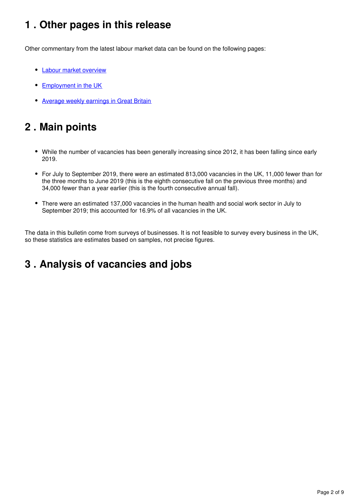## <span id="page-1-0"></span>**1 . Other pages in this release**

Other commentary from the latest labour market data can be found on the following pages:

- [Labour market overview](https://www.ons.gov.uk/employmentandlabourmarket/peopleinwork/employmentandemployeetypes/bulletins/uklabourmarket/october2019)
- [Employment in the UK](https://www.ons.gov.uk/employmentandlabourmarket/peopleinwork/employmentandemployeetypes/bulletins/employmentintheuk/october2019)
- [Average weekly earnings in Great Britain](https://www.ons.gov.uk/employmentandlabourmarket/peopleinwork/employmentandemployeetypes/bulletins/averageweeklyearningsingreatbritain/october2019)

## <span id="page-1-1"></span>**2 . Main points**

- While the number of vacancies has been generally increasing since 2012, it has been falling since early 2019.
- For July to September 2019, there were an estimated 813,000 vacancies in the UK, 11,000 fewer than for the three months to June 2019 (this is the eighth consecutive fall on the previous three months) and 34,000 fewer than a year earlier (this is the fourth consecutive annual fall).
- There were an estimated 137,000 vacancies in the human health and social work sector in July to September 2019; this accounted for 16.9% of all vacancies in the UK.

The data in this bulletin come from surveys of businesses. It is not feasible to survey every business in the UK, so these statistics are estimates based on samples, not precise figures.

## <span id="page-1-2"></span>**3 . Analysis of vacancies and jobs**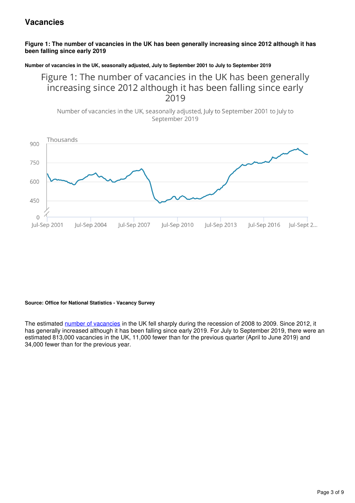### **Vacancies**

#### **Figure 1: The number of vacancies in the UK has been generally increasing since 2012 although it has been falling since early 2019**

#### **Number of vacancies in the UK, seasonally adjusted, July to September 2001 to July to September 2019**

Figure 1: The number of vacancies in the UK has been generally increasing since 2012 although it has been falling since early 2019





#### **Source: Office for National Statistics - Vacancy Survey**

The estimated [number of vacancies](https://www.ons.gov.uk/employmentandlabourmarket/peopleinwork/employmentandemployeetypes/methodologies/aguidetolabourmarketstatistics#vacancies) in the UK fell sharply during the recession of 2008 to 2009. Since 2012, it has generally increased although it has been falling since early 2019. For July to September 2019, there were an estimated 813,000 vacancies in the UK, 11,000 fewer than for the previous quarter (April to June 2019) and 34,000 fewer than for the previous year.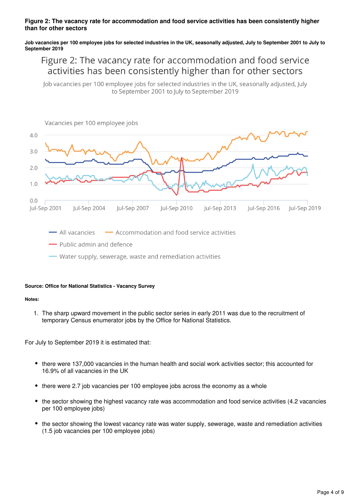#### **Figure 2: The vacancy rate for accommodation and food service activities has been consistently higher than for other sectors**

#### **Job vacancies per 100 employee jobs for selected industries in the UK, seasonally adjusted, July to September 2001 to July to September 2019**

### Figure 2: The vacancy rate for accommodation and food service activities has been consistently higher than for other sectors

Job vacancies per 100 employee jobs for selected industries in the UK, seasonally adjusted, July to September 2001 to July to September 2019



#### **Source: Office for National Statistics - Vacancy Survey**

#### **Notes:**

1. The sharp upward movement in the public sector series in early 2011 was due to the recruitment of temporary Census enumerator jobs by the Office for National Statistics.

For July to September 2019 it is estimated that:

- there were 137,000 vacancies in the human health and social work activities sector; this accounted for 16.9% of all vacancies in the UK
- there were 2.7 job vacancies per 100 employee jobs across the economy as a whole
- the sector showing the highest vacancy rate was accommodation and food service activities (4.2 vacancies per 100 employee jobs)
- the sector showing the lowest vacancy rate was water supply, sewerage, waste and remediation activities (1.5 job vacancies per 100 employee jobs)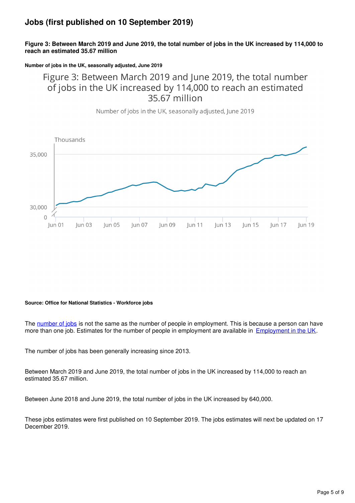### **Jobs (first published on 10 September 2019)**

#### **Figure 3: Between March 2019 and June 2019, the total number of jobs in the UK increased by 114,000 to reach an estimated 35.67 million**

**Number of jobs in the UK, seasonally adjusted, June 2019**

### Figure 3: Between March 2019 and June 2019, the total number of jobs in the UK increased by 114,000 to reach an estimated 35.67 million

Number of jobs in the UK, seasonally adjusted, June 2019



#### **Source: Office for National Statistics - Workforce jobs**

The [number of jobs](https://www.ons.gov.uk/employmentandlabourmarket/peopleinwork/employmentandemployeetypes/methodologies/aguidetolabourmarketstatistics#jobs) is not the same as the number of people in employment. This is because a person can have more than one job. Estimates for the number of people in employment are available in **Employment in the UK**.

The number of jobs has been generally increasing since 2013.

Between March 2019 and June 2019, the total number of jobs in the UK increased by 114,000 to reach an estimated 35.67 million.

Between June 2018 and June 2019, the total number of jobs in the UK increased by 640,000.

These jobs estimates were first published on 10 September 2019. The jobs estimates will next be updated on 17 December 2019.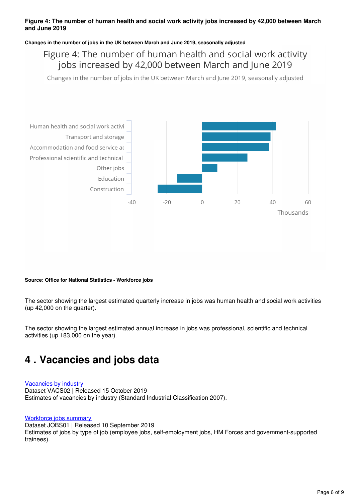#### **Figure 4: The number of human health and social work activity jobs increased by 42,000 between March and June 2019**

#### **Changes in the number of jobs in the UK between March and June 2019, seasonally adjusted**

Figure 4: The number of human health and social work activity jobs increased by 42,000 between March and June 2019

Changes in the number of jobs in the UK between March and June 2019, seasonally adjusted



#### **Source: Office for National Statistics - Workforce jobs**

The sector showing the largest estimated quarterly increase in jobs was human health and social work activities (up 42,000 on the quarter).

The sector showing the largest estimated annual increase in jobs was professional, scientific and technical activities (up 183,000 on the year).

## <span id="page-5-0"></span>**4 . Vacancies and jobs data**

#### [Vacancies by industry](https://www.ons.gov.uk/employmentandlabourmarket/peoplenotinwork/unemployment/datasets/vacanciesbyindustryvacs02)

Dataset VACS02 | Released 15 October 2019 Estimates of vacancies by industry (Standard Industrial Classification 2007).

#### [Workforce jobs summary](https://www.ons.gov.uk/employmentandlabourmarket/peopleinwork/employmentandemployeetypes/datasets/workforcejobssummaryjobs01)

Dataset JOBS01 | Released 10 September 2019 Estimates of jobs by type of job (employee jobs, self-employment jobs, HM Forces and government-supported trainees).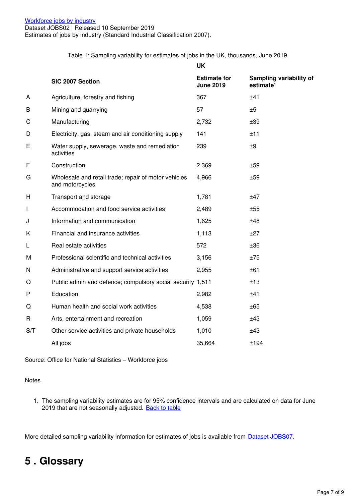Table 1: Sampling variability for estimates of jobs in the UK, thousands, June 2019

|     |                                                                         | <b>UK</b>                               |                                                  |
|-----|-------------------------------------------------------------------------|-----------------------------------------|--------------------------------------------------|
|     | SIC 2007 Section                                                        | <b>Estimate for</b><br><b>June 2019</b> | Sampling variability of<br>estimate <sup>1</sup> |
| A   | Agriculture, forestry and fishing                                       | 367                                     | ±41                                              |
| B   | Mining and quarrying                                                    | 57                                      | ±5                                               |
| C   | Manufacturing                                                           | 2,732                                   | ±39                                              |
| D   | Electricity, gas, steam and air conditioning supply                     | 141                                     | ±11                                              |
| E   | Water supply, sewerage, waste and remediation<br>activities             | 239                                     | ±9                                               |
| F   | Construction                                                            | 2,369                                   | ±59                                              |
| G   | Wholesale and retail trade; repair of motor vehicles<br>and motorcycles | 4,966                                   | ±59                                              |
| H   | Transport and storage                                                   | 1,781                                   | ±47                                              |
| I   | Accommodation and food service activities                               | 2,489                                   | ±55                                              |
| J   | Information and communication                                           | 1,625                                   | ±48                                              |
| Κ   | Financial and insurance activities                                      | 1,113                                   | ±27                                              |
| L   | Real estate activities                                                  | 572                                     | ±36                                              |
| М   | Professional scientific and technical activities                        | 3,156                                   | ±75                                              |
| N   | Administrative and support service activities                           | 2,955                                   | ±61                                              |
| O   | Public admin and defence; compulsory social security 1,511              |                                         | ±13                                              |
| P   | Education                                                               | 2,982                                   | ±41                                              |
| Q   | Human health and social work activities                                 | 4,538                                   | ±65                                              |
| R   | Arts, entertainment and recreation                                      | 1,059                                   | ±43                                              |
| S/T | Other service activities and private households                         | 1,010                                   | ±43                                              |
|     | All jobs                                                                | 35,664                                  | ±194                                             |

Source: Office for National Statistics – Workforce jobs

#### Notes

1. The sampling variability estimates are for 95% confidence intervals and are calculated on data for June 2019 that are not seasonally adjusted. [Back to table](#page-0-0)

More detailed sampling variability information for estimates of jobs is available from **Dataset JOBS07**.

## <span id="page-6-0"></span>**5 . Glossary**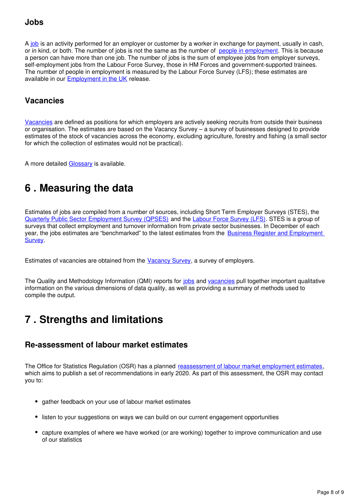### **Jobs**

A[job](https://www.ons.gov.uk/employmentandlabourmarket/peopleinwork/employmentandemployeetypes/methodologies/aguidetolabourmarketstatistics#jobs) is an activity performed for an employer or customer by a worker in exchange for payment, usually in cash, or in kind, or both. The number of jobs is not the same as the number of [people in employment](https://www.ons.gov.uk/employmentandlabourmarket/peopleinwork/employmentandemployeetypes/methodologies/aguidetolabourmarketstatistics#employment). This is because a person can have more than one job. The number of jobs is the sum of employee jobs from employer surveys, self-employment jobs from the Labour Force Survey, those in HM Forces and government-supported trainees. The number of people in employment is measured by the Labour Force Survey (LFS); these estimates are available in our Employment in the UK release.

### **Vacancies**

[Vacancies](https://www.ons.gov.uk/employmentandlabourmarket/peopleinwork/employmentandemployeetypes/methodologies/aguidetolabourmarketstatistics#vacancies) are defined as positions for which employers are actively seeking recruits from outside their business or organisation. The estimates are based on the Vacancy Survey – a survey of businesses designed to provide estimates of the stock of vacancies across the economy, excluding agriculture, forestry and fishing (a small sector for which the collection of estimates would not be practical).

Amore detailed Glossary is available.

## <span id="page-7-0"></span>**6 . Measuring the data**

Estimates of jobs are compiled from a number of sources, including Short Term Employer Surveys (STES), the [Quarterly Public Sector Employment Survey \(QPSES\)](https://www.ons.gov.uk/surveys/%20informationforbusinesses/businesssurveys/%20staticlist?:uri=surveys/informationforbusinesses/%20businesssurveys/staticlist&:uri=surveys/%20informationforbusinesses/businesssurveys/staticlist&page=3) and the Labour Force Survey (LFS)[.](http://www.ons.gov.uk/ons/about-ons/get-involved/taking-part-in-a-survey/information-for-households/a-to-z-of-household-and-individual-surveys/labour-force-survey/index.html) STES is a group of surveys that collect employment and turnover information from private sector businesses. In December of each year, the jobs estimates are "benchmarked" to the latest estimates from the [Business Register and Employment](https://www.ons.gov.uk/employmentandlabourmarket/%20peopleinwork/employmentandemployeetypes/%20methodologies/businessregisteremploymentsurveybresqmi)  **[Survey](https://www.ons.gov.uk/employmentandlabourmarket/%20peopleinwork/employmentandemployeetypes/%20methodologies/businessregisteremploymentsurveybresqmi)**.

Estimates of vacancies are obtained from the Vacancy Survey, a survey of employers.

The Quality and Methodology Information (QMI) reports for [jobs](https://www.ons.gov.uk/employmentandlabourmarket/peopleinwork/employmentandemployeetypes/methodologies/workforcejobsqmi) and vacancies pull together important qualitative information on the various dimensions of data quality, as well as providing a summary of methods used to compile the output.

## <span id="page-7-1"></span>**7 . Strengths and limitations**

### **Re-assessment of labour market estimates**

The Office for Statistics Regulation (OSR) has a planned [reassessment of labour market employment estimates](https://www.statisticsauthority.gov.uk/osr/what-we-do/assessment/current-future-assessments/assessment-of-onss-labour-market-statistics/), which aims to publish a set of recommendations in early 2020. As part of this assessment, the OSR may contact you to:

- gather feedback on your use of labour market estimates
- listen to your suggestions on ways we can build on our current engagement opportunities
- capture examples of where we have worked (or are working) together to improve communication and use of our statistics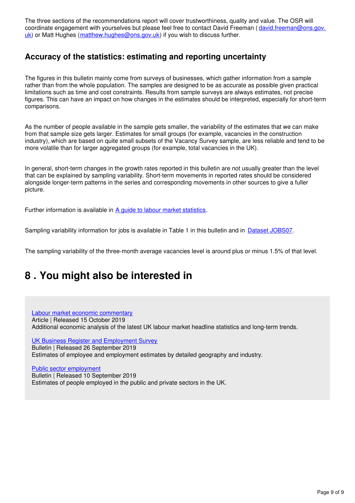The three sections of the recommendations report will cover trustworthiness, quality and value. The OSR will coordinate engagement with yourselves but please feel free to contact David Freeman (david.freeman@ons.gov. uk) or Matt Hughes (matthew.hughes@ons.gov.uk) if you wish to discuss further.

### **Accuracy of the statistics: estimating and reporting uncertainty**

The figures in this bulletin mainly come from surveys of businesses, which gather information from a sample rather than from the whole population. The samples are designed to be as accurate as possible given practical limitations such as time and cost constraints. Results from sample surveys are always estimates, not precise figures. This can have an impact on how changes in the estimates should be interpreted, especially for short-term comparisons.

As the number of people available in the sample gets smaller, the variability of the estimates that we can make from that sample size gets larger. Estimates for small groups (for example, vacancies in the construction industry), which are based on quite small subsets of the Vacancy Survey sample, are less reliable and tend to be more volatile than for larger aggregated groups (for example, total vacancies in the UK).

In general, short-term changes in the growth rates reported in this bulletin are not usually greater than the level that can be explained by sampling variability. Short-term movements in reported rates should be considered alongside longer-term patterns in the series and corresponding movements in other sources to give a fuller picture.

Further information is available in A guide to labour market statistics[.](https://www.ons.gov.uk/employmentandlabourmarket/peopleinwork/employmentandemployeetypes/methodologies/aguidetolabourmarketstatistics)

Sampling variability information for jobs is available in Table 1 in this bulletin and in **Dataset JOBS07**[.](https://www.ons.gov.uk/employmentandlabourmarket/peopleinwork/employmentandemployeetypes/datasets/workforcejobssamplingvariabilityjobs07)

The sampling variability of the three-month average vacancies level is around plus or minus 1.5% of that level.

## <span id="page-8-0"></span>**8 . You might also be interested in**

#### [Labour market economic commentary](https://www.ons.gov.uk/employmentandlabourmarket/peopleinwork/employmentandemployeetypes/articles/labourmarketeconomiccommentary/latest)

Article | Released 15 October 2019 Additional economic analysis of the latest UK labour market headline statistics and long-term trends.

[UK Business Register and Employment Survey](https://www.ons.gov.uk/employmentandlabourmarket/peopleinwork/employmentandemployeetypes/bulletins/businessregisterandemploymentsurveybresprovisionalresults/2018) Bulletin | Released 26 September 2019 Estimates of employee and employment estimates by detailed geography and industry.

[Public sector employment](https://www.ons.gov.uk/employmentandlabourmarket/peopleinwork/publicsectorpersonnel/bulletins/publicsectoremployment/latest) Bulletin | Released 10 September 2019 Estimates of people employed in the public and private sectors in the UK.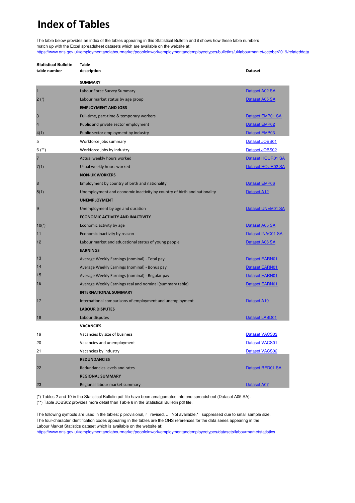## **Index of Tables**

The table below provides an index of the tables appearing in this Statistical Bulletin and it shows how these table numbers match up with the Excel spreadsheet datasets which are available on the website at:

[https://www.ons.gov.uk](https://www.ons.gov.uk/employmentandlabourmarket/peopleinwork/employmentandemployeetypes/bulletins/uklabourmarket/october2019/relateddata)/employmentandlabourmarket/peopleinwork/employmentandemployeetypes/bulletins/uklabourmarket/october2019/relateddata

| <b>Statistical Bulletin</b> | Table       |
|-----------------------------|-------------|
| table number                | description |

| table number   | description                                                              | Dataset               |
|----------------|--------------------------------------------------------------------------|-----------------------|
|                | <b>SUMMARY</b>                                                           |                       |
| $\mathbf{1}$   | Labour Force Survey Summary                                              | Dataset A02 SA        |
| $2(*)$         | Labour market status by age group                                        | Dataset A05 SA        |
|                | <b>EMPLOYMENT AND JOBS</b>                                               |                       |
| 3              | Full-time, part-time & temporary workers                                 | Dataset EMP01 SA      |
| $\overline{4}$ | Public and private sector employment                                     | Dataset EMP02         |
| 4(1)           | Public sector employment by industry                                     | Dataset EMP03         |
| 5              | Workforce jobs summary                                                   | Dataset JOBS01        |
| $6^{(*)}$      | Workforce jobs by industry                                               | Dataset JOBS02        |
| $\overline{7}$ | Actual weekly hours worked                                               | Dataset HOUR01 SA     |
| 7(1)           | Usual weekly hours worked                                                | Dataset HOUR02 SA     |
|                | <b>NON-UK WORKERS</b>                                                    |                       |
| 8              | Employment by country of birth and nationality                           | Dataset EMP06         |
| 8(1)           | Unemployment and economic inactivity by country of birth and nationality | <b>Dataset A12</b>    |
|                | <b>UNEMPLOYMENT</b>                                                      |                       |
| 9              | Unemployment by age and duration                                         | Dataset UNEM01 SA     |
|                | <b>ECONOMIC ACTIVITY AND INACTIVITY</b>                                  |                       |
| $10(*)$        | Economic activity by age                                                 | Dataset A05 SA        |
| 11             | Economic inactivity by reason                                            | Dataset INAC01 SA     |
| 12             | Labour market and educational status of young people                     | Dataset A06 SA        |
|                | <b>EARNINGS</b>                                                          |                       |
| 13             | Average Weekly Earnings (nominal) - Total pay                            | Dataset EARN01        |
| 14             | Average Weekly Earnings (nominal) - Bonus pay                            | Dataset EARN01        |
| 15             | Average Weekly Earnings (nominal) - Regular pay                          | Dataset EARN01        |
| 16             | Average Weekly Earnings real and nominal (summary table)                 | Dataset EARN01        |
|                | <b>INTERNATIONAL SUMMARY</b>                                             |                       |
| 17             | International comparisons of employment and unemployment                 | Dataset A10           |
|                | <b>LABOUR DISPUTES</b>                                                   |                       |
| 18             | Labour disputes                                                          | Dataset LABD01        |
|                | <b>VACANCIES</b>                                                         |                       |
| 19             | Vacancies by size of business                                            | <b>Dataset VACS03</b> |
| 20             | Vacancies and unemployment                                               | Dataset VACS01        |
| 21             | Vacancies by industry                                                    | <b>Dataset VACS02</b> |
|                | <b>REDUNDANCIES</b>                                                      |                       |
| 22             | Redundancies levels and rates                                            | Dataset RED01 SA      |
|                | <b>REGIONAL SUMMARY</b>                                                  |                       |
| 23             | Regional labour market summary                                           | Dataset A07           |

(\*) Tables 2 and 10 in the Statistical Bulletin pdf file have been amalgamated into one spreadsheet (Dataset A05 SA).

(\*\*) Table JOBS02 provides more detail than Table 6 in the Statistical Bulletin pdf file.

The following symbols are used in the tables: p provisional, r revised, .. Not available,\* suppressed due to small sample size. The four-character identification codes appearing in the tables are the ONS references for the data series appearing in the Labour Market Statistics dataset which is available on the website at:

https://www.ons.gov.uk/employmentandlabourmarket/peopleinwork/employmentandemployeetypes/datasets/labourmarketstatistics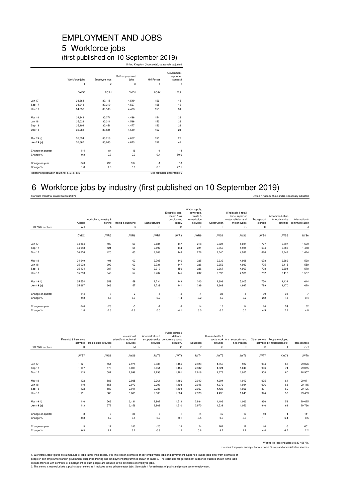## EMPLOYMENT AND JOBS 5 Workforce jobs

(first published on 10 September 2019) United Kingdom (thousands), seasonally adjusted

|                                         | Workforce jobs | Employee jobs  | Self-employment<br>jobs1 | <b>HM Forces</b> | Government-<br>supported<br>trainees1 |
|-----------------------------------------|----------------|----------------|--------------------------|------------------|---------------------------------------|
|                                         | 1              | $\overline{c}$ | 3                        | $\overline{4}$   | 5                                     |
|                                         | <b>DYDC</b>    | <b>BCAJ</b>    | <b>DYZN</b>              | <b>LOJX</b>      | LOJU                                  |
| <b>Jun 17</b>                           | 34.864         | 30,115         | 4,549                    | 156              | 45                                    |
| Sep 17                                  | 34.948         | 30,219         | 4.527                    | 155              | 46                                    |
| Dec 17                                  | 34,856         | 30,188         | 4,483                    | 155              | 31                                    |
| Mar 18                                  | 34,949         | 30,271         | 4,496                    | 154              | 28                                    |
| <b>Jun 18</b>                           | 35,028         | 30,311         | 4,536                    | 153              | 28                                    |
| Sep 18                                  | 35.104         | 30.451         | 4.477                    | 153              | 23                                    |
| Dec 18                                  | 35,283         | 30,521         | 4,589                    | 152              | 21                                    |
| Mar 19 (r)                              | 35.554         | 30.716         | 4,657                    | 153              | 28                                    |
| Jun 19 (p)                              | 35.667         | 30,800         | 4.673                    | 152              | 42                                    |
| Change on quarter                       | 114            | 84             | 16                       | $-1$             | 14                                    |
| Change %                                | 0.3            | 0.3            | 0.3                      | $-0.4$           | 50.6                                  |
| Change on year                          | 640            | 490            | 137                      | $-1$             | 13                                    |
| Change %                                | 1.8            | 1.6            | 3.0                      | $-0.6$           | 47.1                                  |
| Relationship between columns: 1=2+3+4+5 |                |                |                          |                  | See footnotes under table 6           |

### 6 Workforce jobs by industry (first published on 10 September 2019)

Standard Industrial Classification (2007) United Kingdom (thousands), seasonally adjusted

| SIC 2007 sections | All jobs<br>A-T | Agriculture, forestry &<br>fishing<br>А | Mining & quarrying<br>в | Manufacturing<br>C | Electricity, gas,<br>steam & air<br>conditioning<br>supply<br>D | Water supply,<br>sewerage,<br>waste &<br>remediation<br>activities<br>Ε | Construction<br>F | Wholesale & retail<br>trade; repair of<br>motor vehicles and<br>motor cycles<br>G | Transport &<br>storage<br>H | Accommod-ation<br>& food service<br>activities | Information &<br>communic-ation<br>J |
|-------------------|-----------------|-----------------------------------------|-------------------------|--------------------|-----------------------------------------------------------------|-------------------------------------------------------------------------|-------------------|-----------------------------------------------------------------------------------|-----------------------------|------------------------------------------------|--------------------------------------|
|                   |                 |                                         |                         |                    |                                                                 |                                                                         |                   |                                                                                   |                             |                                                |                                      |
|                   | <b>DYDC</b>     | JWR5                                    | JWR6                    | JWR7               | JWR8                                                            | JWR9                                                                    | JWS2              | JWS3                                                                              | JWS4                        | JWS5                                           | JWS6                                 |
| <b>Jun 17</b>     | 34,864          | 409                                     | 60                      | 2,684              | 147                                                             | 218                                                                     | 2,321             | 5,031                                                                             | 1,727                       | 2,397                                          | 1,509                                |
| Sep 17            | 34,948          | 421                                     | 58                      | 2,697              | 144                                                             | 221                                                                     | 2,350             | 4,985                                                                             | 1,694                       | 2,386                                          | 1,488                                |
| Dec 17            | 34,856          | 420                                     | 60                      | 2,708              | 143                                                             | 228                                                                     | 2,340             | 4,996                                                                             | 1,680                       | 2,342                                          | 1,484                                |
| Mar 18            | 34,949          | 401                                     | 62                      | 2,705              | 146                                                             | 225                                                                     | 2,339             | 4,998                                                                             | 1,678                       | 2,382                                          | 1,530                                |
| Jun 18            | 35,028          | 392                                     | 62                      | 2,731              | 147                                                             | 226                                                                     | 2,356             | 4,983                                                                             | 1,705                       | 2,415                                          | 1,559                                |
| Sep 18            | 35,104          | 387                                     | 60                      | 2,719              | 150                                                             | 226                                                                     | 2,367             | 4,967                                                                             | 1.708                       | 2,394                                          | 1,570                                |
| Dec 18            | 35,283          | 346                                     | 57                      | 2,707              | 145                                                             | 232                                                                     | 2,393             | 4,986                                                                             | 1,762                       | 2,416                                          | 1,587                                |
| Mar 19 (r)        | 35,554          | 359                                     | 59                      | 2,734              | 143                                                             | 240                                                                     | 2,393             | 5,005                                                                             | 1,750                       | 2,432                                          | 1,614                                |
| Jun 19 (p)        | 35,667          | 366                                     | 57                      | 2,729              | 141                                                             | 239                                                                     | 2,369             | 4,997                                                                             | 1,789                       | 2,470                                          | 1,620                                |
| Change on quarter | 114             | $\overline{7}$                          | $-2$                    | $-5$               | $-2$                                                            | $-1$                                                                    | $-25$             | -8                                                                                | 39                          | 38                                             | $\overline{7}$                       |
| Change %          | 0.3             | 1.8                                     | $-3.9$                  | $-0.2$             | $-1.4$                                                          | $-0.2$                                                                  | $-1.0$            | $-0.2$                                                                            | 2.2                         | 1.5                                            | 0.4                                  |
| Change on year    | 640             | $-26$                                   | $-5$                    | $-1$               | $-6$                                                            | 14                                                                      | 13                | 14                                                                                | 84                          | 54                                             | 62                                   |
| Change %          | 1.8             | $-6.6$                                  | $-8.6$                  | 0.0                | $-4.1$                                                          | 6.0                                                                     | 0.6               | 0.3                                                                               | 4.9                         | 2.2                                            | 4.0                                  |
|                   |                 |                                         |                         |                    |                                                                 |                                                                         |                   |                                                                                   |                             |                                                |                                      |

|                                                                         | Financial & insurance<br>activities                | Real estate activities                 | Professional<br>scientific & technical<br>activities | Administrative &<br>activities                     | Public admin &<br>defence;<br>support service compulsory social<br>security2 | Education                                          | Human health &<br>activities                       | social work Arts, entertainment<br>& recreation    |                                        | Other service People employed<br>activities by households, etc. | <b>Total services</b>                                    |
|-------------------------------------------------------------------------|----------------------------------------------------|----------------------------------------|------------------------------------------------------|----------------------------------------------------|------------------------------------------------------------------------------|----------------------------------------------------|----------------------------------------------------|----------------------------------------------------|----------------------------------------|-----------------------------------------------------------------|----------------------------------------------------------|
| SIC 2007 sections                                                       | K                                                  | L                                      | M                                                    | N                                                  | $\circ$                                                                      | P                                                  | $\circ$                                            | $\mathsf{R}$                                       | s                                      | T                                                               | $G-T$                                                    |
|                                                                         | JWS7                                               | JWS8                                   | JWS9                                                 | JWT2                                               | JWT3                                                                         | JWT4                                               | JWT5                                               | JWT6                                               | JWT7                                   | <b>KW78</b>                                                     | JWT8                                                     |
| <b>Jun 17</b>                                                           | 1,121                                              | 554                                    | 2,978                                                | 2,985                                              | 1,485                                                                        | 2,923                                              | 4,359                                              | 987                                                | 904                                    | 65                                                              | 29,026                                                   |
| Sep 17                                                                  | 1,107                                              | 573                                    | 3,009                                                | 3,051                                              | 1,485                                                                        | 2,932                                              | 4,324                                              | 1,040                                              | 906                                    | 74                                                              | 29,055                                                   |
| Dec 17                                                                  | 1,113                                              | 587                                    | 2,998                                                | 2,996                                              | 1,481                                                                        | 2,916                                              | 4,373                                              | 1,025                                              | 908                                    | 60                                                              | 28,957                                                   |
| Mar 18<br><b>Jun 18</b><br>Sep 18<br>Dec 18<br>Mar 19 (r)<br>Jun 19 (p) | 1.122<br>1.110<br>1,122<br>1,111<br>1.116<br>1,113 | 586<br>555<br>583<br>580<br>566<br>572 | 2,985<br>2,973<br>3,011<br>3,063<br>3,131<br>3,156   | 2.961<br>2,993<br>2,988<br>2,966<br>2,962<br>2,968 | 1.486<br>1,493<br>1,494<br>1,504<br>1,512<br>1,510                           | 2,943<br>2,946<br>2,957<br>2,973<br>2,984<br>2,970 | 4,394<br>4,376<br>4,423<br>4,435<br>4,496<br>4,538 | 1.019<br>1,034<br>1,026<br>1,045<br>1.063<br>1,053 | 925<br>906<br>891<br>924<br>936<br>946 | 61<br>68<br>60<br>50<br>59<br>63                                | 29,071<br>29,115<br>29,196<br>29,403<br>29,625<br>29,766 |
|                                                                         |                                                    |                                        |                                                      |                                                    |                                                                              |                                                    |                                                    |                                                    |                                        |                                                                 |                                                          |
| Change on quarter                                                       | -3                                                 | $\overline{7}$                         | 26                                                   | 6                                                  | $-1$                                                                         | $-14$                                              | 42                                                 | $-10$                                              | 10                                     | $\overline{4}$                                                  | 141                                                      |
| Change %                                                                | $-0.3$                                             | 1.2                                    | 0.8                                                  | 0.2                                                | $-0.1$                                                                       | $-0.5$                                             | 0.9                                                | $-0.9$                                             | 1.1                                    | 6.4                                                             | 0.5                                                      |
| Change on year<br>Change %                                              | 3<br>0.3                                           | 17<br>3.1                              | 183<br>6.2                                           | $-25$<br>$-0.8$                                    | 18<br>1.2                                                                    | 24<br>0.8                                          | 162<br>3.7                                         | 19<br>1.9                                          | 40<br>4.4                              | $-5$<br>$-6.7$                                                  | 651<br>2.2                                               |

Workforce jobs enquiries 01633 456776

Sources: Employer surveys, Labour Force Survey and administrative sources

1. Workforce Jobs figures are a measure of jobs rather than people. For this reason estimates of self-employment jobs and government supported trainee jobs differ from estimates of<br>excude trainees with contracts of employm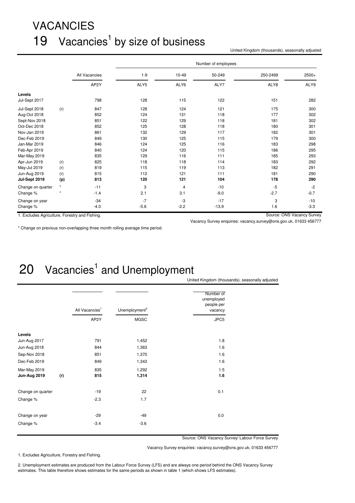# VACANCIES 19 Vacancies<sup>1</sup> by size of business

United Kingdom (thousands), seasonally adjusted

|                                                |         |               |         |        | Number of employees |          |                            |
|------------------------------------------------|---------|---------------|---------|--------|---------------------|----------|----------------------------|
|                                                |         | All Vacancies | $1 - 9$ | 10-49  | 50-249              | 250-2499 | $2500+$                    |
|                                                |         | AP2Y          | ALY5    | ALY6   | ALY7                | ALY8     | ALY9                       |
| Levels                                         |         |               |         |        |                     |          |                            |
| Jul-Sept 2017                                  |         | 798           | 128     | 115    | 122                 | 151      | 282                        |
| Jul-Sept 2018                                  | (r)     | 847           | 128     | 124    | 121                 | 175      | 300                        |
| Aug-Oct 2018                                   |         | 852           | 124     | 131    | 118                 | 177      | 302                        |
| Sept-Nov 2018                                  |         | 851           | 122     | 129    | 118                 | 181      | 302                        |
| Oct-Dec 2018                                   |         | 852           | 125     | 128    | 118                 | 180      | 301                        |
| Nov-Jan 2019                                   |         | 861           | 132     | 129    | 117                 | 182      | 301                        |
| Dec-Feb 2019                                   |         | 849           | 130     | 125    | 115                 | 179      | 300                        |
| Jan-Mar 2019                                   |         | 846           | 124     | 125    | 116                 | 183      | 298                        |
| Feb-Apr 2019                                   |         | 840           | 124     | 120    | 115                 | 186      | 295                        |
| Mar-May 2019                                   |         | 835           | 129     | 116    | 111                 | 185      | 293                        |
| Apr-Jun 2019                                   | (r)     | 825           | 118     | 118    | 114                 | 183      | 292                        |
| May-Jul 2019                                   | (r)     | 819           | 115     | 119    | 113                 | 182      | 291                        |
| Jun-Aug 2019                                   | (r)     | 815           | 112     | 121    | 111                 | 181      | 290                        |
| Jul-Sept 2019                                  | (p)     | 813           | 120     | 121    | 104                 | 178      | 290                        |
| Change on quarter                              | $\star$ | $-11$         | 3       | 4      | $-10$               | $-5$     | $-2$                       |
| Change %                                       | $\star$ | $-1.4$        | 2.1     | 3.1    | $-9.0$              | $-2.7$   | $-0.7$                     |
| Change on year                                 |         | $-34$         | $-7$    | -3     | $-17$               | 3        | $-10$                      |
| Change %                                       |         | $-4.0$        | $-5.6$  | $-2.2$ | $-13.9$             | 1.6      | $-3.3$                     |
| 1. Excludes Agriculture, Forestry and Fishing. |         |               |         |        |                     |          | Source: ONS Vacancy Survey |

\* Change on previous non-overlapping three month rolling average time period.

Vacancy Survey enquiries: vacancy.survey@ons.gov.uk, 01633 456777

# $20$  Vacancies<sup>1</sup> and Unemployment

|                     |     | All Vacancies <sup>1</sup> | Unemployment <sup>2</sup> | Number of<br>unemployed<br>people per<br>vacancy |
|---------------------|-----|----------------------------|---------------------------|--------------------------------------------------|
|                     |     | AP2Y                       | <b>MGSC</b>               | JPC5                                             |
| Levels              |     |                            |                           |                                                  |
| Jun-Aug 2017        |     | 791                        | 1,452                     | 1.8                                              |
| Jun-Aug 2018        |     | 844                        | 1,363                     | 1.6                                              |
| Sep-Nov 2018        |     | 851                        | 1,370                     | 1.6                                              |
| Dec-Feb 2019        |     | 849                        | 1,343                     | 1.6                                              |
| Mar-May 2019        |     | 835                        | 1,292                     | 1.5                                              |
| <b>Jun-Aug 2019</b> | (r) | 815                        | 1,314                     | 1.6                                              |
| Change on quarter   |     | $-19$                      | 22                        | 0.1                                              |
| Change %            |     | $-2.3$                     | 1.7                       |                                                  |
| Change on year      |     | $-29$                      | $-49$                     | 0.0                                              |
| Change %            |     | $-3.4$                     | $-3.6$                    |                                                  |

United Kingdom (thousands), seasonally adjusted

Source: ONS Vacancy Survey/ Labour Force Survey

Vacancy Survey enquiries: vacancy.survey@ons.gov.uk, 01633 456777

1. Excludes Agriculture, Forestry and Fishing.

2. Unemployment estimates are produced from the Labour Force Survey (LFS) and are always one period behind the ONS Vacancy Survey estimates. This table therefore shows estimates for the same periods as shown in table 1 (which shows LFS estimates).